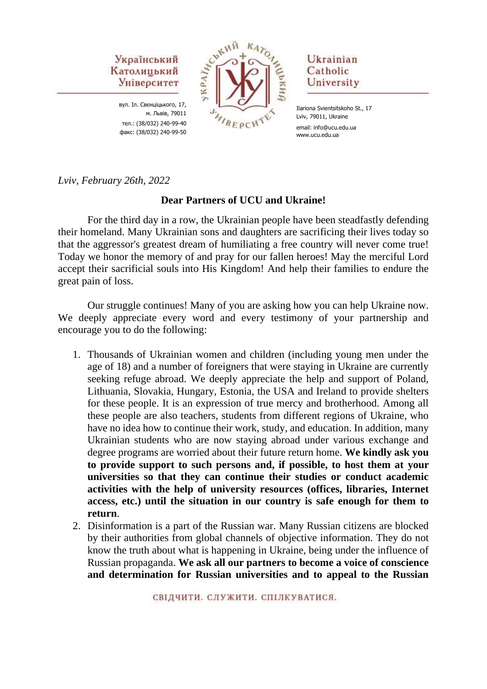

вул. Іл. Свєнціцького, 17, м. Львів, 79011 тел.: (38/032) 240-99-40 факс: (38/032) 240-99-50



# Ukrainian Catholic University

Ilariona Svientsitskoho St., 17 Lviv, 79011, Ukraine email: info@ucu.edu.ua www.ucu.edu.ua

*Lviv, February 26th, 2022*

### **Dear Partners of UCU and Ukraine!**

For the third day in a row, the Ukrainian people have been steadfastly defending their homeland. Many Ukrainian sons and daughters are sacrificing their lives today so that the aggressor's greatest dream of humiliating a free country will never come true! Today we honor the memory of and pray for our fallen heroes! May the merciful Lord accept their sacrificial souls into His Kingdom! And help their families to endure the great pain of loss.

Our struggle continues! Many of you are asking how you can help Ukraine now. We deeply appreciate every word and every testimony of your partnership and encourage you to do the following:

- 1. Thousands of Ukrainian women and children (including young men under the age of 18) and a number of foreigners that were staying in Ukraine are currently seeking refuge abroad. We deeply appreciate the help and support of Poland, Lithuania, Slovakia, Hungary, Estonia, the USA and Ireland to provide shelters for these people. It is an expression of true mercy and brotherhood. Among all these people are also teachers, students from different regions of Ukraine, who have no idea how to continue their work, study, and education. In addition, many Ukrainian students who are now staying abroad under various exchange and degree programs are worried about their future return home. **We kindly ask you to provide support to such persons and, if possible, to host them at your universities so that they can continue their studies or conduct academic activities with the help of university resources (offices, libraries, Internet access, etc.) until the situation in our country is safe enough for them to return**.
- 2. Disinformation is a part of the Russian war. Many Russian citizens are blocked by their authorities from global channels of objective information. They do not know the truth about what is happening in Ukraine, being under the influence of Russian propaganda. **We ask all our partners to become a voice of conscience and determination for Russian universities and to appeal to the Russian**

СВІДЧИТИ, СЛУЖИТИ, СПІЛКУВАТИСЯ.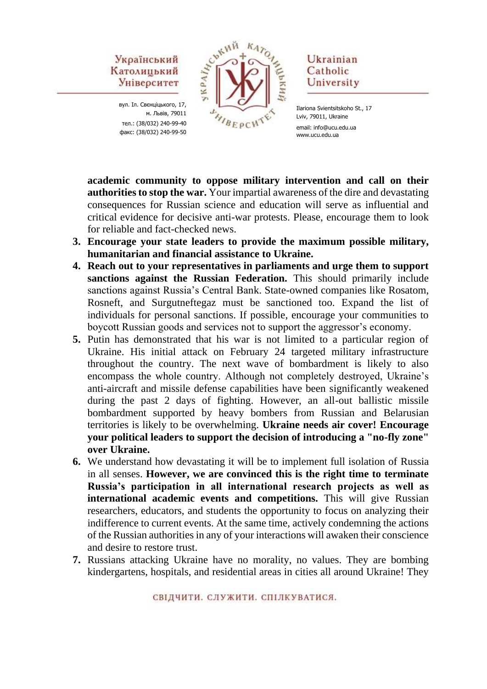# Український Католицький Університет

вул. Іл. Свєнціцького, 17, м. Львів, 79011 тел.: (38/032) 240-99-40 факс: (38/032) 240-99-50



Ukrainian Catholic University

**academic community to oppose military intervention and call on their authorities to stop the war.** Your impartial awareness of the dire and devastating consequences for Russian science and education will serve as influential and critical evidence for decisive anti-war protests. Please, encourage them to look for reliable and fact-checked news.

- **3. Encourage your state leaders to provide the maximum possible military, humanitarian and financial assistance to Ukraine.**
- **4. Reach out to your representatives in parliaments and urge them to support sanctions against the Russian Federation.** This should primarily include sanctions against Russia's Central Bank. State-owned companies like Rosatom, Rosneft, and Surgutneftegaz must be sanctioned too. Expand the list of individuals for personal sanctions. If possible, encourage your communities to boycott Russian goods and services not to support the aggressor's economy.
- **5.** Putin has demonstrated that his war is not limited to a particular region of Ukraine. His initial attack on February 24 targeted military infrastructure throughout the country. The next wave of bombardment is likely to also encompass the whole country. Although not completely destroyed, Ukraine's anti-aircraft and missile defense capabilities have been significantly weakened during the past 2 days of fighting. However, an all-out ballistic missile bombardment supported by heavy bombers from Russian and Belarusian territories is likely to be overwhelming. **Ukraine needs air cover! Encourage your political leaders to support the decision of introducing a "no-fly zone" over Ukraine.**
- **6.** We understand how devastating it will be to implement full isolation of Russia in all senses. **However, we are convinced this is the right time to terminate Russia's participation in all international research projects as well as international academic events and competitions.** This will give Russian researchers, educators, and students the opportunity to focus on analyzing their indifference to current events. At the same time, actively condemning the actions of the Russian authorities in any of your interactions will awaken their conscience and desire to restore trust.
- **7.** Russians attacking Ukraine have no morality, no values. They are bombing kindergartens, hospitals, and residential areas in cities all around Ukraine! They

Ilariona Svientsitskoho St., 17 Lviv, 79011, Ukraine email: info@ucu.edu.ua www.ucu.edu.ua